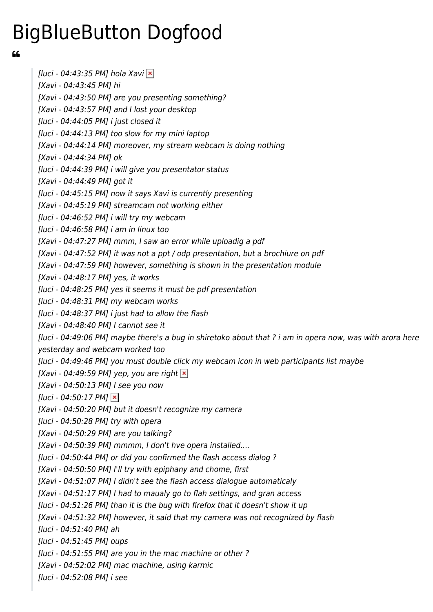## BigBlueButton Dogfood

66

[luci - 04:43:35 PM] hola Xavi  $\vert \mathbf{x} \vert$ [Xavi - 04:43:45 PM] hi [Xavi - 04:43:50 PM] are you presenting something? [Xavi - 04:43:57 PM] and I lost your desktop [luci - 04:44:05 PM] i just closed it [luci - 04:44:13 PM] too slow for my mini laptop [Xavi - 04:44:14 PM] moreover, my stream webcam is doing nothing [Xavi - 04:44:34 PM] ok [luci - 04:44:39 PM] i will give you presentator status [Xavi - 04:44:49 PM] got it [luci - 04:45:15 PM] now it says Xavi is currently presenting [Xavi - 04:45:19 PM] streamcam not working either [luci - 04:46:52 PM] i will try my webcam [luci - 04:46:58 PM] i am in linux too [Xavi - 04:47:27 PM] mmm, I saw an error while uploadig a pdf [Xavi - 04:47:52 PM] it was not a ppt / odp presentation, but a brochiure on pdf [Xavi - 04:47:59 PM] however, something is shown in the presentation module [Xavi - 04:48:17 PM] yes, it works [luci - 04:48:25 PM] yes it seems it must be pdf presentation [luci - 04:48:31 PM] my webcam works [luci - 04:48:37 PM] i just had to allow the flash [Xavi - 04:48:40 PM] I cannot see it [luci - 04:49:06 PM] maybe there's a bug in shiretoko about that ? i am in opera now, was with arora here yesterday and webcam worked too [luci - 04:49:46 PM] you must double click my webcam icon in web participants list maybe [Xavi - 04:49:59 PM] yep, you are right  $\vert x \vert$ [Xavi - 04:50:13 PM] I see you now  $[luci - 04:50:17 PM] \times$ [Xavi - 04:50:20 PM] but it doesn't recognize my camera [luci - 04:50:28 PM] try with opera [Xavi - 04:50:29 PM] are you talking? [Xavi - 04:50:39 PM] mmmm, I don't hve opera installed.... [luci - 04:50:44 PM] or did you confirmed the flash access dialog ? [Xavi - 04:50:50 PM] I'll try with epiphany and chome, first [Xavi - 04:51:07 PM] I didn't see the flash access dialogue automaticaly [Xavi - 04:51:17 PM] I had to maualy go to flah settings, and gran access [luci - 04:51:26 PM] than it is the bug with firefox that it doesn't show it up [Xavi - 04:51:32 PM] however, it said that my camera was not recognized by flash [luci - 04:51:40 PM] ah [luci - 04:51:45 PM] oups [luci - 04:51:55 PM] are you in the mac machine or other ? [Xavi - 04:52:02 PM] mac machine, using karmic [luci - 04:52:08 PM] i see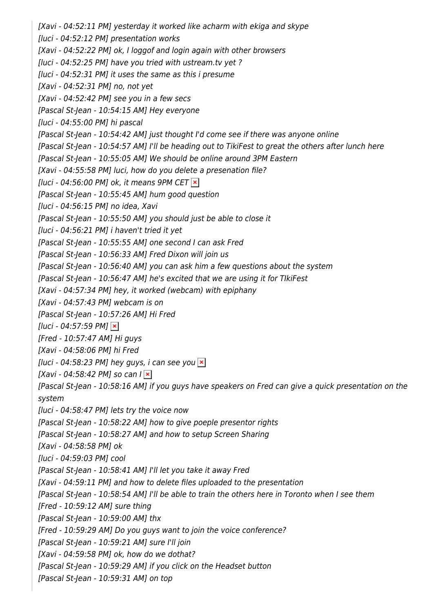[Xavi - 04:52:11 PM] yesterday it worked like acharm with ekiga and skype [luci - 04:52:12 PM] presentation works [Xavi - 04:52:22 PM] ok, I loggof and login again with other browsers [luci - 04:52:25 PM] have you tried with ustream.tv yet ? [luci - 04:52:31 PM] it uses the same as this i presume [Xavi - 04:52:31 PM] no, not yet [Xavi - 04:52:42 PM] see you in a few secs [Pascal St-Jean - 10:54:15 AM] Hey everyone [luci - 04:55:00 PM] hi pascal [Pascal St-Jean - 10:54:42 AM] just thought I'd come see if there was anyone online [Pascal St-Jean - 10:54:57 AM] I'll be heading out to TikiFest to great the others after lunch here [Pascal St-Jean - 10:55:05 AM] We should be online around 3PM Eastern [Xavi - 04:55:58 PM] luci, how do you delete a presenation file? [luci - 04:56:00 PM] ok, it means 9PM CET  $\vert x \vert$ [Pascal St-Jean - 10:55:45 AM] hum good question [luci - 04:56:15 PM] no idea, Xavi [Pascal St-Jean - 10:55:50 AM] you should just be able to close it [luci - 04:56:21 PM] i haven't tried it yet [Pascal St-Jean - 10:55:55 AM] one second I can ask Fred [Pascal St-Jean - 10:56:33 AM] Fred Dixon will join us [Pascal St-Jean - 10:56:40 AM] you can ask him a few questions about the system [Pascal St-Jean - 10:56:47 AM] he's excited that we are using it for TIkiFest [Xavi - 04:57:34 PM] hey, it worked (webcam) with epiphany [Xavi - 04:57:43 PM] webcam is on [Pascal St-Jean - 10:57:26 AM] Hi Fred [luci - 04:57:59 PM]  $\times$ [Fred - 10:57:47 AM] Hi guys [Xavi - 04:58:06 PM] hi Fred [luci - 04:58:23 PM] hey guys, i can see you  $\vert \times \vert$ [Xavi - 04:58:42 PM] so can  $|\times|$ [Pascal St-Jean - 10:58:16 AM] if you guys have speakers on Fred can give a quick presentation on the system [luci - 04:58:47 PM] lets try the voice now [Pascal St-Jean - 10:58:22 AM] how to give poeple presentor rights [Pascal St-Jean - 10:58:27 AM] and how to setup Screen Sharing [Xavi - 04:58:58 PM] ok [luci - 04:59:03 PM] cool [Pascal St-Jean - 10:58:41 AM] I'll let you take it away Fred [Xavi - 04:59:11 PM] and how to delete files uploaded to the presentation [Pascal St-Jean - 10:58:54 AM] I'll be able to train the others here in Toronto when I see them [Fred - 10:59:12 AM] sure thing [Pascal St-Jean - 10:59:00 AM] thx [Fred - 10:59:29 AM] Do you guys want to join the voice conference? [Pascal St-Jean - 10:59:21 AM] sure I'll join [Xavi - 04:59:58 PM] ok, how do we dothat? [Pascal St-Jean - 10:59:29 AM] if you click on the Headset button [Pascal St-Jean - 10:59:31 AM] on top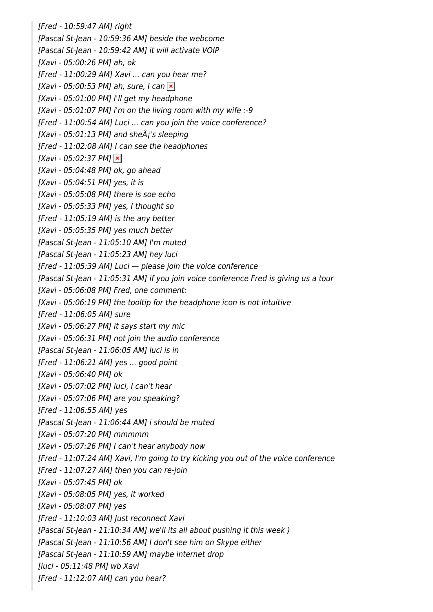[Fred - 10:59:47 AM] right [Pascal St-Jean - 10:59:36 AM] beside the webcome [Pascal St-Jean - 10:59:42 AM] it will activate VOIP [Xavi - 05:00:26 PM] ah, ok [Fred - 11:00:29 AM] Xavi ... can you hear me? [Xavi - 05:00:53 PM] ah, sure, I can  $\vert \times \vert$ [Xavi - 05:01:00 PM] I'll get my headphone [Xavi - 05:01:07 PM] i'm on the living room with my wife :-9 [Fred - 11:00:54 AM] Luci ... can you join the voice conference? [Xavi - 05:01:13 PM] and she $\hat{A}$ 's sleeping [Fred - 11:02:08 AM] I can see the headphones  $[Xavi - 05:02:37 PM]$ [Xavi - 05:04:48 PM] ok, go ahead [Xavi - 05:04:51 PM] yes, it is [Xavi - 05:05:08 PM] there is soe echo [Xavi - 05:05:33 PM] yes, I thought so [Fred - 11:05:19 AM] is the any better [Xavi - 05:05:35 PM] yes much better [Pascal St-Jean - 11:05:10 AM] I'm muted [Pascal St-Jean - 11:05:23 AM] hey luci  $[Fred - 11:05:39 AM]$  Luci  $-$  please join the voice conference [Pascal St-Jean - 11:05:31 AM] if you join voice conference Fred is giving us a tour [Xavi - 05:06:08 PM] Fred, one comment: [Xavi - 05:06:19 PM] the tooltip for the headphone icon is not intuitive [Fred - 11:06:05 AM] sure [Xavi - 05:06:27 PM] it says start my mic [Xavi - 05:06:31 PM] not join the audio conference [Pascal St-Jean - 11:06:05 AM] luci is in [Fred - 11:06:21 AM] yes ... good point [Xavi - 05:06:40 PM] ok [Xavi - 05:07:02 PM] luci, I can't hear [Xavi - 05:07:06 PM] are you speaking? [Fred - 11:06:55 AM] yes [Pascal St-Jean - 11:06:44 AM] i should be muted [Xavi - 05:07:20 PM] mmmmm [Xavi - 05:07:26 PM] I can't hear anybody now [Fred - 11:07:24 AM] Xavi, I'm going to try kicking you out of the voice conference [Fred - 11:07:27 AM] then you can re-join [Xavi - 05:07:45 PM] ok [Xavi - 05:08:05 PM] yes, it worked [Xavi - 05:08:07 PM] yes [Fred - 11:10:03 AM] Just reconnect Xavi [Pascal St-Jean - 11:10:34 AM] we'll its all about pushing it this week ) [Pascal St-Jean - 11:10:56 AM] I don't see him on Skype either [Pascal St-Jean - 11:10:59 AM] maybe internet drop [luci - 05:11:48 PM] wb Xavi  $[Fred - 11:12:07 AMI$  can you hear?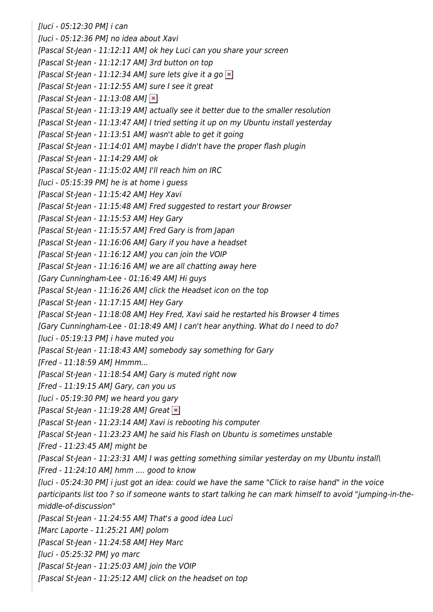[luci - 05:12:30 PM] i can [luci - 05:12:36 PM] no idea about Xavi [Pascal St-Jean - 11:12:11 AM] ok hey Luci can you share your screen [Pascal St-Jean - 11:12:17 AM] 3rd button on top [Pascal St-Jean - 11:12:34 AM] sure lets give it a go  $\times$ [Pascal St-Jean - 11:12:55 AM] sure I see it great [Pascal St-Jean - 11:13:08 AM]  $\times$ [Pascal St-Jean - 11:13:19 AM] actually see it better due to the smaller resolution [Pascal St-Jean - 11:13:47 AM] I tried setting it up on my Ubuntu install yesterday [Pascal St-Jean - 11:13:51 AM] wasn't able to get it going [Pascal St-Jean - 11:14:01 AM] maybe I didn't have the proper flash plugin [Pascal St-Jean - 11:14:29 AM] ok [Pascal St-Jean - 11:15:02 AM] I'll reach him on IRC [luci - 05:15:39 PM] he is at home i guess [Pascal St-Jean - 11:15:42 AM] Hey Xavi [Pascal St-Jean - 11:15:48 AM] Fred suggested to restart your Browser [Pascal St-Jean - 11:15:53 AM] Hey Gary [Pascal St-Jean - 11:15:57 AM] Fred Gary is from Japan [Pascal St-Jean - 11:16:06 AM] Gary if you have a headset [Pascal St-Jean - 11:16:12 AM] you can join the VOIP [Pascal St-Jean - 11:16:16 AM] we are all chatting away here [Gary Cunningham-Lee - 01:16:49 AM] Hi guys [Pascal St-Jean - 11:16:26 AM] click the Headset icon on the top [Pascal St-Jean - 11:17:15 AM] Hey Gary [Pascal St-Jean - 11:18:08 AM] Hey Fred, Xavi said he restarted his Browser 4 times [Gary Cunningham-Lee - 01:18:49 AM] I can't hear anything. What do I need to do? [luci - 05:19:13 PM] i have muted you [Pascal St-Jean - 11:18:43 AM] somebody say something for Gary [Fred - 11:18:59 AM] Hmmm... [Pascal St-Jean - 11:18:54 AM] Gary is muted right now [Fred - 11:19:15 AM] Gary, can you us [luci - 05:19:30 PM] we heard you gary [Pascal St-Jean - 11:19:28 AM] Great  $\vert x \vert$ [Pascal St-Jean - 11:23:14 AM] Xavi is rebooting his computer [Pascal St-Jean - 11:23:23 AM] he said his Flash on Ubuntu is sometimes unstable [Fred - 11:23:45 AM] might be [Pascal St-Jean - 11:23:31 AM] I was getting something similar yesterday on my Ubuntu install\ [Fred - 11:24:10 AM] hmm .... good to know [luci - 05:24:30 PM] i just got an idea: could we have the same "Click to raise hand" in the voice participants list too ? so if someone wants to start talking he can mark himself to avoid "jumping-in-themiddle-of-discussion" [Pascal St-Jean - 11:24:55 AM] That's a good idea Luci [Marc Laporte - 11:25:21 AM] polom [Pascal St-Jean - 11:24:58 AM] Hey Marc [luci - 05:25:32 PM] yo marc [Pascal St-Jean - 11:25:03 AM] join the VOIP [Pascal St-Jean - 11:25:12 AM] click on the headset on top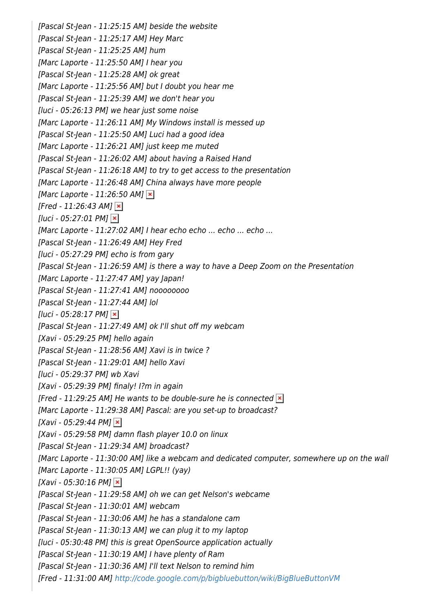[Pascal St-Jean - 11:25:15 AM] beside the website [Pascal St-Jean - 11:25:17 AM] Hey Marc [Pascal St-Jean - 11:25:25 AM] hum [Marc Laporte - 11:25:50 AM] I hear you [Pascal St-Jean - 11:25:28 AM] ok great [Marc Laporte - 11:25:56 AM] but I doubt you hear me [Pascal St-Jean - 11:25:39 AM] we don't hear you [luci - 05:26:13 PM] we hear just some noise [Marc Laporte - 11:26:11 AM] My Windows install is messed up [Pascal St-Jean - 11:25:50 AM] Luci had a good idea [Marc Laporte - 11:26:21 AM] just keep me muted [Pascal St-Jean - 11:26:02 AM] about having a Raised Hand [Pascal St-Jean - 11:26:18 AM] to try to get access to the presentation [Marc Laporte - 11:26:48 AM] China always have more people [Marc Laporte - 11:26:50 AM]  $\times$  $[Fred - 11:26:43 AM] \times$  $[luci - 05:27:01 PM]$   $\times$ [Marc Laporte - 11:27:02 AM] I hear echo echo ... echo ... echo ... [Pascal St-Jean - 11:26:49 AM] Hey Fred [luci - 05:27:29 PM] echo is from gary [Pascal St-Jean - 11:26:59 AM] is there a way to have a Deep Zoom on the Presentation [Marc Laporte - 11:27:47 AM] yay Japan! [Pascal St-Jean - 11:27:41 AM] noooooooo [Pascal St-Jean - 11:27:44 AM] lol  $[luci - 05:28:17 PM] \times$ [Pascal St-Jean - 11:27:49 AM] ok I'll shut off my webcam [Xavi - 05:29:25 PM] hello again [Pascal St-Jean - 11:28:56 AM] Xavi is in twice ? [Pascal St-Jean - 11:29:01 AM] hello Xavi [luci - 05:29:37 PM] wb Xavi [Xavi - 05:29:39 PM] finaly! I?m in again [Fred - 11:29:25 AM] He wants to be double-sure he is connected  $\vert x \vert$ [Marc Laporte - 11:29:38 AM] Pascal: are you set-up to broadcast?  $[Xavi - 05:29:44 PM]$   $\times$ [Xavi - 05:29:58 PM] damn flash player 10.0 on linux [Pascal St-Jean - 11:29:34 AM] broadcast? [Marc Laporte - 11:30:00 AM] like a webcam and dedicated computer, somewhere up on the wall [Marc Laporte - 11:30:05 AM] LGPL!! (yay)  $[Xavi - 05:30:16 PM]$   $\times$ [Pascal St-Jean - 11:29:58 AM] oh we can get Nelson's webcame [Pascal St-Jean - 11:30:01 AM] webcam [Pascal St-Jean - 11:30:06 AM] he has a standalone cam [Pascal St-Jean - 11:30:13 AM] we can plug it to my laptop [luci - 05:30:48 PM] this is great OpenSource application actually [Pascal St-Jean - 11:30:19 AM] I have plenty of Ram [Pascal St-Jean - 11:30:36 AM] I'll text Nelson to remind him [Fred - 11:31:00 AM]<http://code.google.com/p/bigbluebutton/wiki/BigBlueButtonVM>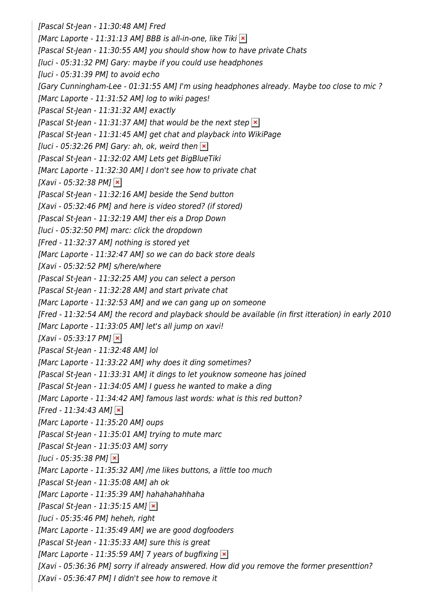[Pascal St-Jean - 11:30:48 AM] Fred [Marc Laporte - 11:31:13 AM] BBB is all-in-one, like Tiki  $\mathbf{\times}$ [Pascal St-Jean - 11:30:55 AM] you should show how to have private Chats [luci - 05:31:32 PM] Gary: maybe if you could use headphones [luci - 05:31:39 PM] to avoid echo [Gary Cunningham-Lee - 01:31:55 AM] I'm using headphones already. Maybe too close to mic ? [Marc Laporte - 11:31:52 AM] log to wiki pages! [Pascal St-Jean - 11:31:32 AM] exactly [Pascal St-Jean - 11:31:37 AM] that would be the next step  $\geq$ [Pascal St-Jean - 11:31:45 AM] get chat and playback into WikiPage [luci - 05:32:26 PM] Gary: ah, ok, weird then  $\vert \mathbf{x} \vert$ [Pascal St-Jean - 11:32:02 AM] Lets get BigBlueTiki [Marc Laporte - 11:32:30 AM] I don't see how to private chat [Xavi - 05:32:38 PM]  $\times$ [Pascal St-Jean - 11:32:16 AM] beside the Send button [Xavi - 05:32:46 PM] and here is video stored? (if stored) [Pascal St-Jean - 11:32:19 AM] ther eis a Drop Down [luci - 05:32:50 PM] marc: click the dropdown [Fred - 11:32:37 AM] nothing is stored yet [Marc Laporte - 11:32:47 AM] so we can do back store deals [Xavi - 05:32:52 PM] s/here/where [Pascal St-Jean - 11:32:25 AM] you can select a person [Pascal St-Jean - 11:32:28 AM] and start private chat [Marc Laporte - 11:32:53 AM] and we can gang up on someone [Fred - 11:32:54 AM] the record and playback should be available (in first itteration) in early 2010 [Marc Laporte - 11:33:05 AM] let's all jump on xavi!  $[Xavi - 05:33:17 PM] \times$ [Pascal St-Jean - 11:32:48 AM] lol [Marc Laporte - 11:33:22 AM] why does it ding sometimes? [Pascal St-Jean - 11:33:31 AM] it dings to let youknow someone has joined [Pascal St-Jean - 11:34:05 AM] I guess he wanted to make a ding [Marc Laporte - 11:34:42 AM] famous last words: what is this red button?  $[Fred - 11:34:43 AM]$   $\times$ [Marc Laporte - 11:35:20 AM] oups [Pascal St-Jean - 11:35:01 AM] trying to mute marc [Pascal St-Jean - 11:35:03 AM] sorry  $[luci - 05:35:38 PM]$   $\times$ [Marc Laporte - 11:35:32 AM] /me likes buttons, a little too much [Pascal St-Jean - 11:35:08 AM] ah ok [Marc Laporte - 11:35:39 AM] hahahahahhaha [Pascal St-Jean - 11:35:15 AM]  $\times$ [luci - 05:35:46 PM] heheh, right [Marc Laporte - 11:35:49 AM] we are good dogfooders [Pascal St-Jean - 11:35:33 AM] sure this is great [Marc Laporte - 11:35:59 AM] 7 years of bugfixing  $\vert x \vert$ [Xavi - 05:36:36 PM] sorry if already answered. How did you remove the former presenttion? [Xavi - 05:36:47 PM] I didn't see how to remove it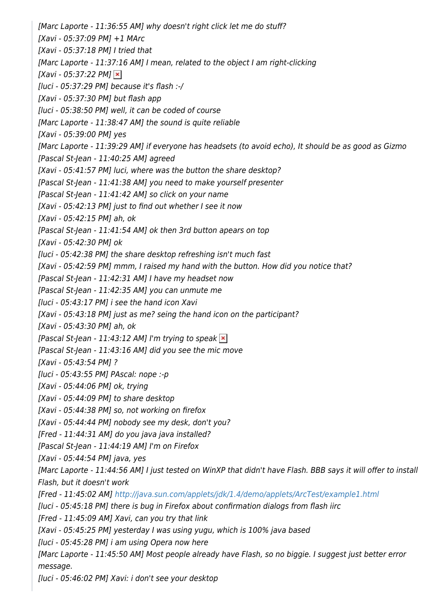[Marc Laporte - 11:36:55 AM] why doesn't right click let me do stuff? [Xavi - 05:37:09 PM] +1 MArc [Xavi - 05:37:18 PM] I tried that [Marc Laporte - 11:37:16 AM] I mean, related to the object I am right-clicking  $[Xavi - 05:37:22 PM]$   $\times$ [luci - 05:37:29 PM] because it's flash :-/ [Xavi - 05:37:30 PM] but flash app [luci - 05:38:50 PM] well, it can be coded of course [Marc Laporte - 11:38:47 AM] the sound is quite reliable [Xavi - 05:39:00 PM] yes [Marc Laporte - 11:39:29 AM] if everyone has headsets (to avoid echo), It should be as good as Gizmo [Pascal St-Jean - 11:40:25 AM] agreed [Xavi - 05:41:57 PM] luci, where was the button the share desktop? [Pascal St-Jean - 11:41:38 AM] you need to make yourself presenter [Pascal St-Jean - 11:41:42 AM] so click on your name [Xavi - 05:42:13 PM] just to find out whether I see it now [Xavi - 05:42:15 PM] ah, ok [Pascal St-Jean - 11:41:54 AM] ok then 3rd button apears on top [Xavi - 05:42:30 PM] ok [luci - 05:42:38 PM] the share desktop refreshing isn't much fast [Xavi - 05:42:59 PM] mmm, I raised my hand with the button. How did you notice that? [Pascal St-Jean - 11:42:31 AM] I have my headset now [Pascal St-Jean - 11:42:35 AM] you can unmute me [luci - 05:43:17 PM] i see the hand icon Xavi [Xavi - 05:43:18 PM] just as me? seing the hand icon on the participant? [Xavi - 05:43:30 PM] ah, ok [Pascal St-Jean - 11:43:12 AM] I'm trying to speak  $\overline{\mathbf{x}}$ ] [Pascal St-Jean - 11:43:16 AM] did you see the mic move [Xavi - 05:43:54 PM] ? [luci - 05:43:55 PM] PAscal: nope :-p [Xavi - 05:44:06 PM] ok, trying [Xavi - 05:44:09 PM] to share desktop [Xavi - 05:44:38 PM] so, not working on firefox [Xavi - 05:44:44 PM] nobody see my desk, don't you? [Fred - 11:44:31 AM] do you java java installed? [Pascal St-Jean - 11:44:19 AM] I'm on Firefox [Xavi - 05:44:54 PM] java, yes [Marc Laporte - 11:44:56 AM] I just tested on WinXP that didn't have Flash. BBB says it will offer to install Flash, but it doesn't work [Fred - 11:45:02 AM]<http://java.sun.com/applets/jdk/1.4/demo/applets/ArcTest/example1.html> [luci - 05:45:18 PM] there is bug in Firefox about confirmation dialogs from flash iirc [Fred - 11:45:09 AM] Xavi, can you try that link [Xavi - 05:45:25 PM] yesterday I was using yugu, which is 100% java based [luci - 05:45:28 PM] i am using Opera now here [Marc Laporte - 11:45:50 AM] Most people already have Flash, so no biggie. I suggest just better error message. [luci - 05:46:02 PM] Xavi: i don't see your desktop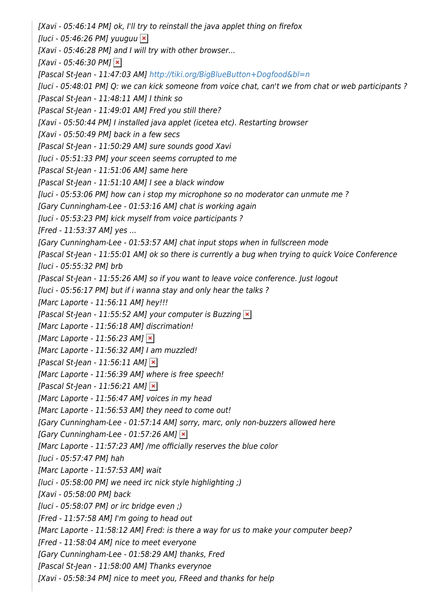[Xavi - 05:46:14 PM] ok, I'll try to reinstall the java applet thing on firefox [luci - 05:46:26 PM] yuuguu  $\overline{\mathbf{x}}$ [Xavi - 05:46:28 PM] and I will try with other browser...  $[Xavi - 05:46:30 PM]$   $\times$ [Pascal St-Jean - 11:47:03 AM] <http://tiki.org/BigBlueButton+Dogfood&bl=n> [luci - 05:48:01 PM] Q: we can kick someone from voice chat, can't we from chat or web participants ? [Pascal St-Jean - 11:48:11 AM] I think so [Pascal St-Jean - 11:49:01 AM] Fred you still there? [Xavi - 05:50:44 PM] I installed java applet (icetea etc). Restarting browser [Xavi - 05:50:49 PM] back in a few secs [Pascal St-Jean - 11:50:29 AM] sure sounds good Xavi [luci - 05:51:33 PM] your sceen seems corrupted to me [Pascal St-Jean - 11:51:06 AM] same here [Pascal St-Jean - 11:51:10 AM] I see a black window [luci - 05:53:06 PM] how can i stop my microphone so no moderator can unmute me ? [Gary Cunningham-Lee - 01:53:16 AM] chat is working again [luci - 05:53:23 PM] kick myself from voice participants ? [Fred - 11:53:37 AM] yes ... [Gary Cunningham-Lee - 01:53:57 AM] chat input stops when in fullscreen mode [Pascal St-Jean - 11:55:01 AM] ok so there is currently a bug when trying to quick Voice Conference [luci - 05:55:32 PM] brb [Pascal St-Jean - 11:55:26 AM] so if you want to leave voice conference. Just logout [luci - 05:56:17 PM] but if i wanna stay and only hear the talks ? [Marc Laporte - 11:56:11 AM] hey!!! [Pascal St-Jean - 11:55:52 AM] your computer is Buzzing  $\vert x \vert$ [Marc Laporte - 11:56:18 AM] discrimation! [Marc Laporte - 11:56:23 AM]  $\times$ [Marc Laporte - 11:56:32 AM] I am muzzled! [Pascal St-Jean - 11:56:11 AM]  $\times$ [Marc Laporte - 11:56:39 AM] where is free speech! [Pascal St-Jean - 11:56:21 AM]  $\times$ [Marc Laporte - 11:56:47 AM] voices in my head [Marc Laporte - 11:56:53 AM] they need to come out! [Gary Cunningham-Lee - 01:57:14 AM] sorry, marc, only non-buzzers allowed here [Gary Cunningham-Lee - 01:57:26 AM]  $\times$ [Marc Laporte - 11:57:23 AM] /me officially reserves the blue color [luci - 05:57:47 PM] hah [Marc Laporte - 11:57:53 AM] wait [luci - 05:58:00 PM] we need irc nick style highlighting ;) [Xavi - 05:58:00 PM] back  $[luci - 05:58:07 PMI orirc bridge even :]$ [Fred - 11:57:58 AM] I'm going to head out [Marc Laporte - 11:58:12 AM] Fred: is there a way for us to make your computer beep? [Fred - 11:58:04 AM] nice to meet everyone [Gary Cunningham-Lee - 01:58:29 AM] thanks, Fred [Pascal St-Jean - 11:58:00 AM] Thanks everynoe [Xavi - 05:58:34 PM] nice to meet you, FReed and thanks for help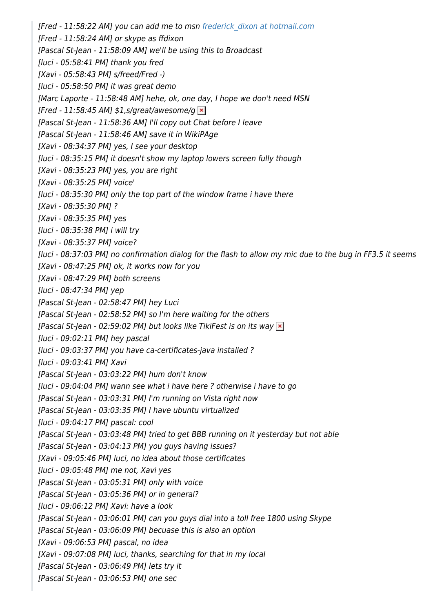[Fred - 11:58:22 AM] you can add me to msn [frederick\\_dixon at hotmail.com](mailto:nospam@example.com) [Fred - 11:58:24 AM] or skype as ffdixon [Pascal St-Jean - 11:58:09 AM] we'll be using this to Broadcast [luci - 05:58:41 PM] thank you fred [Xavi - 05:58:43 PM] s/freed/Fred -) [luci - 05:58:50 PM] it was great demo [Marc Laporte - 11:58:48 AM] hehe, ok, one day, I hope we don't need MSN [Fred - 11:58:45 AM]  $$1, s/great/awesome/q \times$ [Pascal St-Jean - 11:58:36 AM] I'll copy out Chat before I leave [Pascal St-Jean - 11:58:46 AM] save it in WikiPAge [Xavi - 08:34:37 PM] yes, I see your desktop [luci - 08:35:15 PM] it doesn't show my laptop lowers screen fully though [Xavi - 08:35:23 PM] yes, you are right [Xavi - 08:35:25 PM] voice' [luci - 08:35:30 PM] only the top part of the window frame i have there [Xavi - 08:35:30 PM] ? [Xavi - 08:35:35 PM] yes [luci - 08:35:38 PM] i will try [Xavi - 08:35:37 PM] voice? [luci - 08:37:03 PM] no confirmation dialog for the flash to allow my mic due to the bug in FF3.5 it seems [Xavi - 08:47:25 PM] ok, it works now for you [Xavi - 08:47:29 PM] both screens [luci - 08:47:34 PM] yep [Pascal St-Jean - 02:58:47 PM] hey Luci [Pascal St-Jean - 02:58:52 PM] so I'm here waiting for the others [Pascal St-Jean - 02:59:02 PM] but looks like TikiFest is on its way  $\mathbf{x}$ ] [luci - 09:02:11 PM] hey pascal [luci - 09:03:37 PM] you have ca-certificates-java installed ? [luci - 09:03:41 PM] Xavi [Pascal St-Jean - 03:03:22 PM] hum don't know [luci - 09:04:04 PM] wann see what i have here ? otherwise i have to go [Pascal St-Jean - 03:03:31 PM] I'm running on Vista right now [Pascal St-Jean - 03:03:35 PM] I have ubuntu virtualized [luci - 09:04:17 PM] pascal: cool [Pascal St-Jean - 03:03:48 PM] tried to get BBB running on it yesterday but not able [Pascal St-Jean - 03:04:13 PM] you guys having issues? [Xavi - 09:05:46 PM] luci, no idea about those certificates [luci - 09:05:48 PM] me not, Xavi yes [Pascal St-Jean - 03:05:31 PM] only with voice [Pascal St-Jean - 03:05:36 PM] or in general? [luci - 09:06:12 PM] Xavi: have a look [Pascal St-Jean - 03:06:01 PM] can you guys dial into a toll free 1800 using Skype [Pascal St-Jean - 03:06:09 PM] becuase this is also an option [Xavi - 09:06:53 PM] pascal, no idea [Xavi - 09:07:08 PM] luci, thanks, searching for that in my local [Pascal St-Jean - 03:06:49 PM] lets try it [Pascal St-Jean - 03:06:53 PM] one sec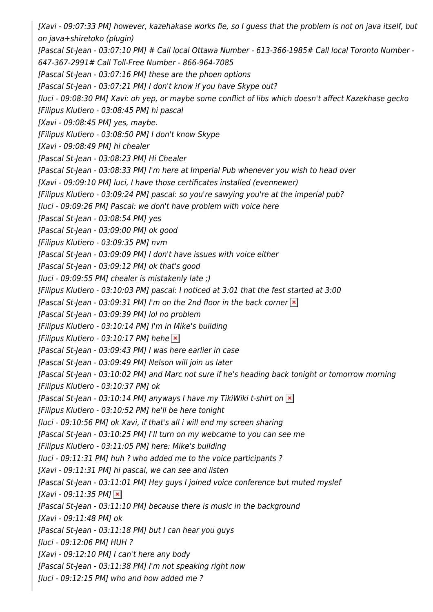[Xavi - 09:07:33 PM] however, kazehakase works fie, so I guess that the problem is not on java itself, but on java+shiretoko (plugin) [Pascal St-Jean - 03:07:10 PM] # Call local Ottawa Number - 613-366-1985# Call local Toronto Number - 647-367-2991# Call Toll-Free Number - 866-964-7085 [Pascal St-Jean - 03:07:16 PM] these are the phoen options [Pascal St-Jean - 03:07:21 PM] I don't know if you have Skype out? [luci - 09:08:30 PM] Xavi: oh yep, or maybe some conflict of libs which doesn't affect Kazekhase gecko [Filipus Klutiero - 03:08:45 PM] hi pascal [Xavi - 09:08:45 PM] yes, maybe. [Filipus Klutiero - 03:08:50 PM] I don't know Skype [Xavi - 09:08:49 PM] hi chealer [Pascal St-Jean - 03:08:23 PM] Hi Chealer [Pascal St-Jean - 03:08:33 PM] I'm here at Imperial Pub whenever you wish to head over [Xavi - 09:09:10 PM] luci, I have those certificates installed (evennewer) [Filipus Klutiero - 03:09:24 PM] pascal: so you're sawying you're at the imperial pub? [luci - 09:09:26 PM] Pascal: we don't have problem with voice here [Pascal St-Jean - 03:08:54 PM] yes [Pascal St-Jean - 03:09:00 PM] ok good [Filipus Klutiero - 03:09:35 PM] nvm [Pascal St-Jean - 03:09:09 PM] I don't have issues with voice either [Pascal St-Jean - 03:09:12 PM] ok that's good [luci - 09:09:55 PM] chealer is mistakenly late ;) [Filipus Klutiero - 03:10:03 PM] pascal: I noticed at 3:01 that the fest started at 3:00 [Pascal St-Jean - 03:09:31 PM] I'm on the 2nd floor in the back corner  $\ge$ [Pascal St-Jean - 03:09:39 PM] lol no problem [Filipus Klutiero - 03:10:14 PM] I'm in Mike's building [Filipus Klutiero - 03:10:17 PM] hehe  $\ge$ [Pascal St-Jean - 03:09:43 PM] I was here earlier in case [Pascal St-Jean - 03:09:49 PM] Nelson will join us later [Pascal St-Jean - 03:10:02 PM] and Marc not sure if he's heading back tonight or tomorrow morning [Filipus Klutiero - 03:10:37 PM] ok [Pascal St-Jean - 03:10:14 PM] anyways I have my TikiWiki t-shirt on  $\mathbf{x}$ ] [Filipus Klutiero - 03:10:52 PM] he'll be here tonight [luci - 09:10:56 PM] ok Xavi, if that's all i will end my screen sharing [Pascal St-Jean - 03:10:25 PM] I'll turn on my webcame to you can see me [Filipus Klutiero - 03:11:05 PM] here: Mike's building [luci - 09:11:31 PM] huh ? who added me to the voice participants ? [Xavi - 09:11:31 PM] hi pascal, we can see and listen [Pascal St-Jean - 03:11:01 PM] Hey guys I joined voice conference but muted myslef  $[Xavi - 09:11:35 PM]$   $\times$ [Pascal St-Jean - 03:11:10 PM] because there is music in the background [Xavi - 09:11:48 PM] ok [Pascal St-Jean - 03:11:18 PM] but I can hear you guys [luci - 09:12:06 PM] HUH ? [Xavi - 09:12:10 PM] I can't here any body [Pascal St-Jean - 03:11:38 PM] I'm not speaking right now  $[luci - 09:12:15 \text{ PM}]$  who and how added me?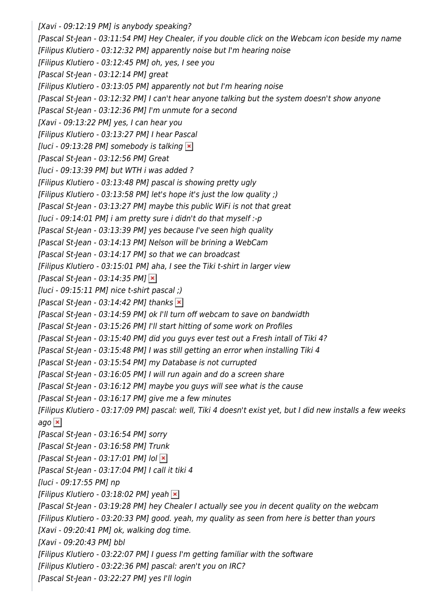[Xavi - 09:12:19 PM] is anybody speaking? [Pascal St-Jean - 03:11:54 PM] Hey Chealer, if you double click on the Webcam icon beside my name [Filipus Klutiero - 03:12:32 PM] apparently noise but I'm hearing noise [Filipus Klutiero - 03:12:45 PM] oh, yes, I see you [Pascal St-Jean - 03:12:14 PM] great [Filipus Klutiero - 03:13:05 PM] apparently not but I'm hearing noise [Pascal St-Jean - 03:12:32 PM] I can't hear anyone talking but the system doesn't show anyone [Pascal St-Jean - 03:12:36 PM] I'm unmute for a second [Xavi - 09:13:22 PM] yes, I can hear you [Filipus Klutiero - 03:13:27 PM] I hear Pascal [luci - 09:13:28 PM] somebody is talking  $\vert \mathbf{x} \vert$ [Pascal St-Jean - 03:12:56 PM] Great [luci - 09:13:39 PM] but WTH i was added ? [Filipus Klutiero - 03:13:48 PM] pascal is showing pretty ugly [Filipus Klutiero - 03:13:58 PM] let's hope it's just the low quality ;) [Pascal St-Jean - 03:13:27 PM] maybe this public WiFi is not that great [luci - 09:14:01 PM] i am pretty sure i didn't do that myself :-p [Pascal St-Jean - 03:13:39 PM] yes because I've seen high quality [Pascal St-Jean - 03:14:13 PM] Nelson will be brining a WebCam [Pascal St-Jean - 03:14:17 PM] so that we can broadcast [Filipus Klutiero - 03:15:01 PM] aha, I see the Tiki t-shirt in larger view [Pascal St-Jean - 03:14:35 PM]  $\times$  $[$ luci - 09:15:11 PM] nice t-shirt pascal;) [Pascal St-Jean - 03:14:42 PM] thanks  $\vert \mathbf{x} \vert$ [Pascal St-Jean - 03:14:59 PM] ok I'll turn off webcam to save on bandwidth [Pascal St-Jean - 03:15:26 PM] I'll start hitting of some work on Profiles [Pascal St-Jean - 03:15:40 PM] did you guys ever test out a Fresh intall of Tiki 4? [Pascal St-Jean - 03:15:48 PM] I was still getting an error when installing Tiki 4 [Pascal St-Jean - 03:15:54 PM] my Database is not currupted [Pascal St-Jean - 03:16:05 PM] I will run again and do a screen share [Pascal St-Jean - 03:16:12 PM] maybe you guys will see what is the cause [Pascal St-Jean - 03:16:17 PM] give me a few minutes [Filipus Klutiero - 03:17:09 PM] pascal: well, Tiki 4 doesn't exist yet, but I did new installs a few weeks ago $\vert \mathbf{x} \vert$ [Pascal St-Jean - 03:16:54 PM] sorry [Pascal St-Jean - 03:16:58 PM] Trunk [Pascal St-Jean - 03:17:01 PM] lol  $\blacktriangleright$ [Pascal St-Jean - 03:17:04 PM] I call it tiki 4 [luci - 09:17:55 PM] np [Filipus Klutiero - 03:18:02 PM] yeah  $\ge$ [Pascal St-Jean - 03:19:28 PM] hey Chealer I actually see you in decent quality on the webcam [Filipus Klutiero - 03:20:33 PM] good. yeah, my quality as seen from here is better than yours [Xavi - 09:20:41 PM] ok, walking dog time. [Xavi - 09:20:43 PM] bbl [Filipus Klutiero - 03:22:07 PM] I guess I'm getting familiar with the software [Filipus Klutiero - 03:22:36 PM] pascal: aren't you on IRC? [Pascal St-Jean - 03:22:27 PM] yes I'll login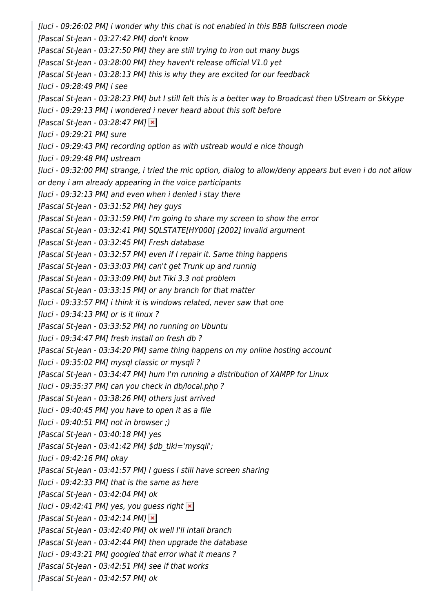[luci - 09:26:02 PM] i wonder why this chat is not enabled in this BBB fullscreen mode [Pascal St-Jean - 03:27:42 PM] don't know [Pascal St-Jean - 03:27:50 PM] they are still trying to iron out many bugs [Pascal St-Jean - 03:28:00 PM] they haven't release official V1.0 yet [Pascal St-Jean - 03:28:13 PM] this is why they are excited for our feedback [luci - 09:28:49 PM] i see [Pascal St-Jean - 03:28:23 PM] but I still felt this is a better way to Broadcast then UStream or Skkype [luci - 09:29:13 PM] i wondered i never heard about this soft before [Pascal St-Jean - 03:28:47 PM]  $\times$ [luci - 09:29:21 PM] sure [luci - 09:29:43 PM] recording option as with ustreab would e nice though [luci - 09:29:48 PM] ustream [luci - 09:32:00 PM] strange, i tried the mic option, dialog to allow/deny appears but even i do not allow or deny i am already appearing in the voice participants [luci - 09:32:13 PM] and even when i denied i stay there [Pascal St-Jean - 03:31:52 PM] hey guys [Pascal St-Jean - 03:31:59 PM] I'm going to share my screen to show the error [Pascal St-Jean - 03:32:41 PM] SQLSTATE[HY000] [2002] Invalid argument [Pascal St-Jean - 03:32:45 PM] Fresh database [Pascal St-Jean - 03:32:57 PM] even if I repair it. Same thing happens [Pascal St-Jean - 03:33:03 PM] can't get Trunk up and runnig [Pascal St-Jean - 03:33:09 PM] but Tiki 3.3 not problem [Pascal St-Jean - 03:33:15 PM] or any branch for that matter [luci - 09:33:57 PM] i think it is windows related, never saw that one [luci - 09:34:13 PM] or is it linux ? [Pascal St-Jean - 03:33:52 PM] no running on Ubuntu [luci - 09:34:47 PM] fresh install on fresh db ? [Pascal St-Jean - 03:34:20 PM] same thing happens on my online hosting account [luci - 09:35:02 PM] mysql classic or mysqli ? [Pascal St-Jean - 03:34:47 PM] hum I'm running a distribution of XAMPP for Linux [luci - 09:35:37 PM] can you check in db/local.php ? [Pascal St-Jean - 03:38:26 PM] others just arrived [luci - 09:40:45 PM] you have to open it as a file [luci - 09:40:51 PM] not in browser ;) [Pascal St-Jean - 03:40:18 PM] yes  $[Pascal St-Jean - 03:41:42 PM]$ \$db\_tiki='mysqli'; [luci - 09:42:16 PM] okay [Pascal St-Jean - 03:41:57 PM] I guess I still have screen sharing [luci - 09:42:33 PM] that is the same as here [Pascal St-Jean - 03:42:04 PM] ok [luci - 09:42:41 PM] yes, you guess right  $\vert x \vert$ [Pascal St-Jean - 03:42:14 PM]  $\times$ [Pascal St-Jean - 03:42:40 PM] ok well I'll intall branch [Pascal St-Jean - 03:42:44 PM] then upgrade the database [luci - 09:43:21 PM] googled that error what it means ? [Pascal St-Jean - 03:42:51 PM] see if that works [Pascal St-Jean - 03:42:57 PM] ok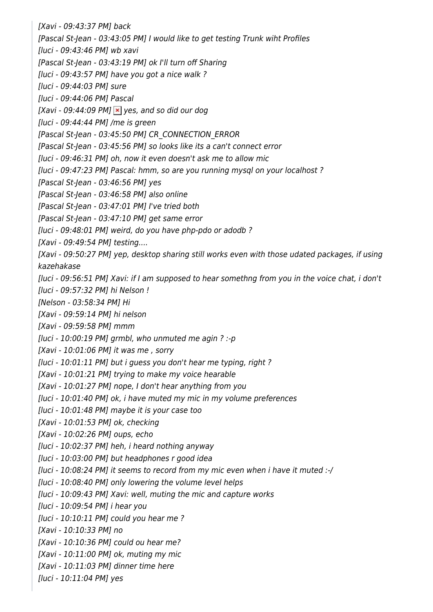[Xavi - 09:43:37 PM] back [Pascal St-Jean - 03:43:05 PM] I would like to get testing Trunk wiht Profiles [luci - 09:43:46 PM] wb xavi [Pascal St-Jean - 03:43:19 PM] ok I'll turn off Sharing [luci - 09:43:57 PM] have you got a nice walk ? [luci - 09:44:03 PM] sure [luci - 09:44:06 PM] Pascal [Xavi - 09:44:09 PM]  $\times$  yes, and so did our dog [luci - 09:44:44 PM] /me is green [Pascal St-Jean - 03:45:50 PM] CR\_CONNECTION\_ERROR [Pascal St-Jean - 03:45:56 PM] so looks like its a can't connect error [luci - 09:46:31 PM] oh, now it even doesn't ask me to allow mic [luci - 09:47:23 PM] Pascal: hmm, so are you running mysql on your localhost ? [Pascal St-Jean - 03:46:56 PM] yes [Pascal St-Jean - 03:46:58 PM] also online [Pascal St-Jean - 03:47:01 PM] I've tried both [Pascal St-Jean - 03:47:10 PM] get same error [luci - 09:48:01 PM] weird, do you have php-pdo or adodb ? [Xavi - 09:49:54 PM] testing.... [Xavi - 09:50:27 PM] yep, desktop sharing still works even with those udated packages, if using kazehakase [luci - 09:56:51 PM] Xavi: if I am supposed to hear somethng from you in the voice chat, i don't [luci - 09:57:32 PM] hi Nelson ! [Nelson - 03:58:34 PM] Hi [Xavi - 09:59:14 PM] hi nelson [Xavi - 09:59:58 PM] mmm  $[luci - 10:00:19 \text{ PM}]$  grmbl, who unmuted me agin ? :-p [Xavi - 10:01:06 PM] it was me , sorry [luci - 10:01:11 PM] but i guess you don't hear me typing, right ? [Xavi - 10:01:21 PM] trying to make my voice hearable [Xavi - 10:01:27 PM] nope, I don't hear anything from you [luci - 10:01:40 PM] ok, i have muted my mic in my volume preferences [luci - 10:01:48 PM] maybe it is your case too [Xavi - 10:01:53 PM] ok, checking [Xavi - 10:02:26 PM] oups, echo [luci - 10:02:37 PM] heh, i heard nothing anyway [luci - 10:03:00 PM] but headphones r good idea [luci - 10:08:24 PM] it seems to record from my mic even when i have it muted :-/ [luci - 10:08:40 PM] only lowering the volume level helps [luci - 10:09:43 PM] Xavi: well, muting the mic and capture works [luci - 10:09:54 PM] i hear you [luci - 10:10:11 PM] could you hear me ? [Xavi - 10:10:33 PM] no [Xavi - 10:10:36 PM] could ou hear me? [Xavi - 10:11:00 PM] ok, muting my mic [Xavi - 10:11:03 PM] dinner time here

[luci - 10:11:04 PM] yes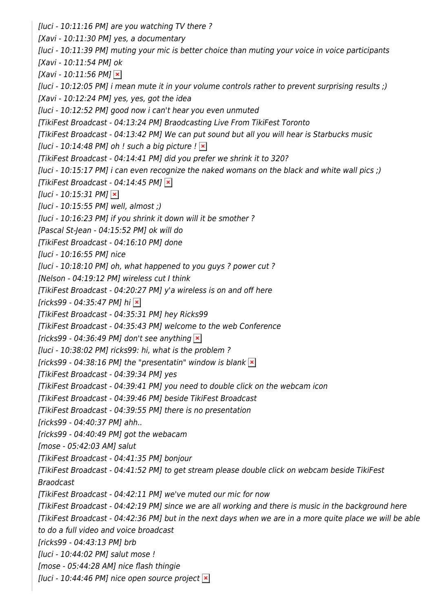[luci - 10:11:16 PM] are you watching TV there ? [Xavi - 10:11:30 PM] yes, a documentary [luci - 10:11:39 PM] muting your mic is better choice than muting your voice in voice participants [Xavi - 10:11:54 PM] ok  $[Xavi - 10:11:56 PM]$   $\times$ [luci - 10:12:05 PM] i mean mute it in your volume controls rather to prevent surprising results ;) [Xavi - 10:12:24 PM] yes, yes, got the idea [luci - 10:12:52 PM] good now i can't hear you even unmuted [TikiFest Broadcast - 04:13:24 PM] Braodcasting Live From TikiFest Toronto [TikiFest Broadcast - 04:13:42 PM] We can put sound but all you will hear is Starbucks music [luci - 10:14:48 PM] oh ! such a big picture !  $\vert \cdot \vert$ [TikiFest Broadcast - 04:14:41 PM] did you prefer we shrink it to 320? [luci - 10:15:17 PM] i can even recognize the naked womans on the black and white wall pics ;) [TikiFest Broadcast - 04:14:45 PM]  $\times$  $[luci - 10:15:31 PM]$   $\times$ [luci - 10:15:55 PM] well, almost ;) [luci - 10:16:23 PM] if you shrink it down will it be smother ? [Pascal St-Jean - 04:15:52 PM] ok will do [TikiFest Broadcast - 04:16:10 PM] done [luci - 10:16:55 PM] nice [luci - 10:18:10 PM] oh, what happened to you guys ? power cut ? [Nelson - 04:19:12 PM] wireless cut I think [TikiFest Broadcast - 04:20:27 PM] y'a wireless is on and off here  $[ricks99 - 04:35:47 \text{ PM}]$  hi  $\vert \mathbf{x} \vert$ [TikiFest Broadcast - 04:35:31 PM] hey Ricks99 [TikiFest Broadcast - 04:35:43 PM] welcome to the web Conference  $[ricks99 - 04:36:49 \text{ PM}]$  don't see anything  $\vert x \vert$ [luci - 10:38:02 PM] ricks99: hi, what is the problem ? [ricks99 - 04:38:16 PM] the "presentatin" window is blank  $\vert \mathbf{x} \vert$ [TikiFest Broadcast - 04:39:34 PM] yes [TikiFest Broadcast - 04:39:41 PM] you need to double click on the webcam icon [TikiFest Broadcast - 04:39:46 PM] beside TikiFest Broadcast [TikiFest Broadcast - 04:39:55 PM] there is no presentation [ricks99 - 04:40:37 PM] ahh.. [ricks99 - 04:40:49 PM] got the webacam [mose - 05:42:03 AM] salut [TikiFest Broadcast - 04:41:35 PM] bonjour [TikiFest Broadcast - 04:41:52 PM] to get stream please double click on webcam beside TikiFest Braodcast [TikiFest Broadcast - 04:42:11 PM] we've muted our mic for now [TikiFest Broadcast - 04:42:19 PM] since we are all working and there is music in the background here [TikiFest Broadcast - 04:42:36 PM] but in the next days when we are in a more quite place we will be able to do a full video and voice broadcast [ricks99 - 04:43:13 PM] brb [luci - 10:44:02 PM] salut mose ! [mose - 05:44:28 AM] nice flash thingie [luci - 10:44:46 PM] nice open source project  $\ge$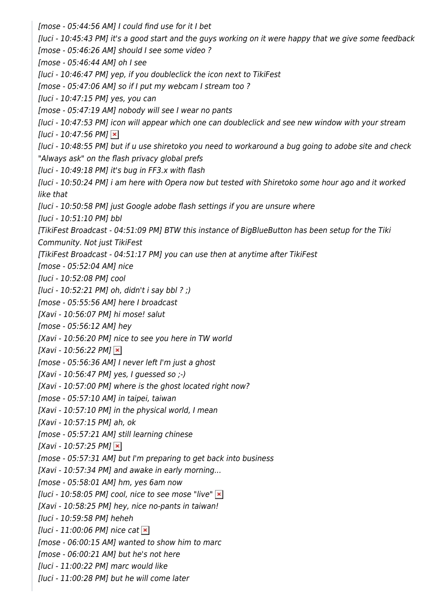[mose - 05:44:56 AM] I could find use for it I bet [luci - 10:45:43 PM] it's a good start and the guys working on it were happy that we give some feedback [mose - 05:46:26 AM] should I see some video ? [mose - 05:46:44 AM] oh I see [luci - 10:46:47 PM] yep, if you doubleclick the icon next to TikiFest [mose - 05:47:06 AM] so if I put my webcam I stream too ? [luci - 10:47:15 PM] yes, you can [mose - 05:47:19 AM] nobody will see I wear no pants [luci - 10:47:53 PM] icon will appear which one can doubleclick and see new window with your stream  $[luci - 10:47:56 PM]$   $\times$ [luci - 10:48:55 PM] but if u use shiretoko you need to workaround a bug going to adobe site and check "Always ask" on the flash privacy global prefs [luci - 10:49:18 PM] it's bug in FF3.x with flash [luci - 10:50:24 PM] i am here with Opera now but tested with Shiretoko some hour ago and it worked like that [luci - 10:50:58 PM] just Google adobe flash settings if you are unsure where [luci - 10:51:10 PM] bbl [TikiFest Broadcast - 04:51:09 PM] BTW this instance of BigBlueButton has been setup for the Tiki Community. Not just TikiFest [TikiFest Broadcast - 04:51:17 PM] you can use then at anytime after TikiFest [mose - 05:52:04 AM] nice [luci - 10:52:08 PM] cool [luci - 10:52:21 PM] oh, didn't i say bbl ? ;) [mose - 05:55:56 AM] here I broadcast [Xavi - 10:56:07 PM] hi mose! salut [mose - 05:56:12 AM] hey [Xavi - 10:56:20 PM] nice to see you here in TW world  $[Xavi - 10:56:22 PM]$   $\times$ [mose - 05:56:36 AM] I never left I'm just a ghost  $[Xavi - 10:56:47 PM]$  yes, I guessed so  $-$ ) [Xavi - 10:57:00 PM] where is the ghost located right now? [mose - 05:57:10 AM] in taipei, taiwan [Xavi - 10:57:10 PM] in the physical world, I mean [Xavi - 10:57:15 PM] ah, ok [mose - 05:57:21 AM] still learning chinese  $[Xavi - 10:57:25 PM]$   $\times$ [mose - 05:57:31 AM] but I'm preparing to get back into business [Xavi - 10:57:34 PM] and awake in early morning... [mose - 05:58:01 AM] hm, yes 6am now [luci - 10:58:05 PM] cool, nice to see mose "live"  $\mathbf{\times}$ [Xavi - 10:58:25 PM] hey, nice no-pants in taiwan! [luci - 10:59:58 PM] heheh  $[luci - 11:00:06 \text{ PM}]$  nice cat  $\blacktriangleright$ [mose - 06:00:15 AM] wanted to show him to marc [mose - 06:00:21 AM] but he's not here [luci - 11:00:22 PM] marc would like [luci - 11:00:28 PM] but he will come later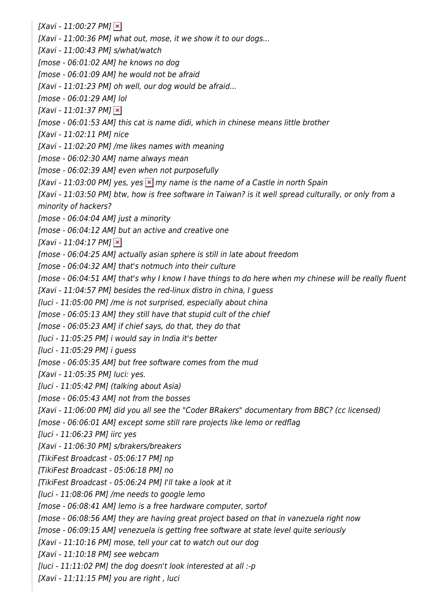$[Xavi - 11:00:27 PM]$   $\vert x \vert$ [Xavi - 11:00:36 PM] what out, mose, it we show it to our dogs... [Xavi - 11:00:43 PM] s/what/watch [mose - 06:01:02 AM] he knows no dog [mose - 06:01:09 AM] he would not be afraid [Xavi - 11:01:23 PM] oh well, our dog would be afraid... [mose - 06:01:29 AM] lol  $[Xavi - 11:01:37 PM]$   $\vert \times \vert$ [mose - 06:01:53 AM] this cat is name didi, which in chinese means little brother [Xavi - 11:02:11 PM] nice [Xavi - 11:02:20 PM] /me likes names with meaning [mose - 06:02:30 AM] name always mean [mose - 06:02:39 AM] even when not purposefully [Xavi - 11:03:00 PM] yes, yes  $\mathbf{\times}$  my name is the name of a Castle in north Spain [Xavi - 11:03:50 PM] btw, how is free software in Taiwan? is it well spread culturally, or only from a minority of hackers? [mose - 06:04:04 AM] just a minority [mose - 06:04:12 AM] but an active and creative one  $[Xavi - 11:04:17 PM]$   $\times$ [mose - 06:04:25 AM] actually asian sphere is still in late about freedom [mose - 06:04:32 AM] that's notmuch into their culture [mose - 06:04:51 AM] that's why I know I have things to do here when my chinese will be really fluent [Xavi - 11:04:57 PM] besides the red-linux distro in china, I quess [luci - 11:05:00 PM] /me is not surprised, especially about china [mose - 06:05:13 AM] they still have that stupid cult of the chief [mose - 06:05:23 AM] if chief says, do that, they do that [luci - 11:05:25 PM] i would say in India it's better [luci - 11:05:29 PM] i guess [mose - 06:05:35 AM] but free software comes from the mud [Xavi - 11:05:35 PM] luci: yes. [luci - 11:05:42 PM] (talking about Asia) [mose - 06:05:43 AM] not from the bosses [Xavi - 11:06:00 PM] did you all see the "Coder BRakers" documentary from BBC? (cc licensed) [mose - 06:06:01 AM] except some still rare projects like lemo or redflag [luci - 11:06:23 PM] iirc yes [Xavi - 11:06:30 PM] s/brakers/breakers [TikiFest Broadcast - 05:06:17 PM] np [TikiFest Broadcast - 05:06:18 PM] no [TikiFest Broadcast - 05:06:24 PM] I'll take a look at it [luci - 11:08:06 PM] /me needs to google lemo [mose - 06:08:41 AM] lemo is a free hardware computer, sortof [mose - 06:08:56 AM] they are having great project based on that in vanezuela right now [mose - 06:09:15 AM] venezuela is getting free software at state level quite seriously [Xavi - 11:10:16 PM] mose, tell your cat to watch out our dog [Xavi - 11:10:18 PM] see webcam [luci - 11:11:02 PM] the dog doesn't look interested at all :-p [Xavi - 11:11:15 PM] you are right, luci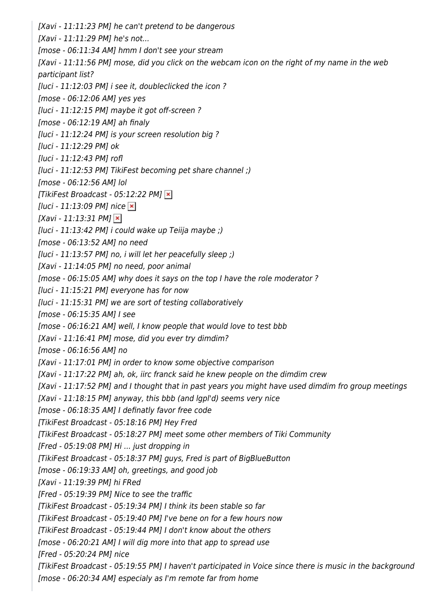[Xavi - 11:11:23 PM] he can't pretend to be dangerous [Xavi - 11:11:29 PM] he's not... [mose - 06:11:34 AM] hmm I don't see your stream [Xavi - 11:11:56 PM] mose, did you click on the webcam icon on the right of my name in the web participant list? [luci - 11:12:03 PM] i see it, doubleclicked the icon ? [mose - 06:12:06 AM] yes yes [luci - 11:12:15 PM] maybe it got off-screen ? [mose - 06:12:19 AM] ah finaly [luci - 11:12:24 PM] is your screen resolution big ? [luci - 11:12:29 PM] ok [luci - 11:12:43 PM] rofl [luci - 11:12:53 PM] TikiFest becoming pet share channel ;) [mose - 06:12:56 AM] lol [TikiFest Broadcast - 05:12:22 PM]  $\times$ [luci - 11:13:09 PM] nice  $\vert \mathbf{x} \vert$  $[Xavi - 11:13:31 PM]$   $\times$  $[$ luci - 11:13:42 PM] i could wake up Teiija maybe ;) [mose - 06:13:52 AM] no need [luci - 11:13:57 PM] no, i will let her peacefully sleep ;) [Xavi - 11:14:05 PM] no need, poor animal [mose - 06:15:05 AM] why does it says on the top I have the role moderator ? [luci - 11:15:21 PM] everyone has for now [luci - 11:15:31 PM] we are sort of testing collaboratively [mose - 06:15:35 AM] I see [mose - 06:16:21 AM] well, I know people that would love to test bbb [Xavi - 11:16:41 PM] mose, did you ever try dimdim? [mose - 06:16:56 AM] no [Xavi - 11:17:01 PM] in order to know some objective comparison [Xavi - 11:17:22 PM] ah, ok, iirc franck said he knew people on the dimdim crew [Xavi - 11:17:52 PM] and I thought that in past years you might have used dimdim fro group meetings [Xavi - 11:18:15 PM] anyway, this bbb (and lgpl'd) seems very nice [mose - 06:18:35 AM] I definatly favor free code [TikiFest Broadcast - 05:18:16 PM] Hey Fred [TikiFest Broadcast - 05:18:27 PM] meet some other members of Tiki Community [Fred - 05:19:08 PM] Hi ... just dropping in [TikiFest Broadcast - 05:18:37 PM] guys, Fred is part of BigBlueButton [mose - 06:19:33 AM] oh, greetings, and good job [Xavi - 11:19:39 PM] hi FRed [Fred - 05:19:39 PM] Nice to see the traffic [TikiFest Broadcast - 05:19:34 PM] I think its been stable so far [TikiFest Broadcast - 05:19:40 PM] I've bene on for a few hours now [TikiFest Broadcast - 05:19:44 PM] I don't know about the others [mose - 06:20:21 AM] I will dig more into that app to spread use [Fred - 05:20:24 PM] nice [TikiFest Broadcast - 05:19:55 PM] I haven't participated in Voice since there is music in the background [mose - 06:20:34 AM] especialy as I'm remote far from home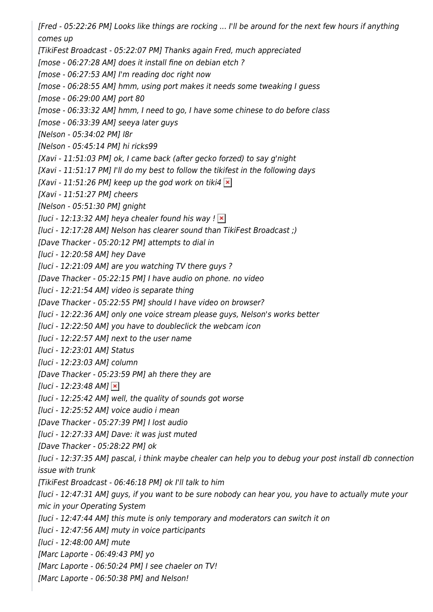[Fred - 05:22:26 PM] Looks like things are rocking ... I'll be around for the next few hours if anything comes up

[TikiFest Broadcast - 05:22:07 PM] Thanks again Fred, much appreciated

[mose - 06:27:28 AM] does it install fine on debian etch ?

[mose - 06:27:53 AM] I'm reading doc right now

[mose - 06:28:55 AM] hmm, using port makes it needs some tweaking I guess

[mose - 06:29:00 AM] port 80

[mose - 06:33:32 AM] hmm, I need to go, I have some chinese to do before class

[mose - 06:33:39 AM] seeya later guys

[Nelson - 05:34:02 PM] l8r

[Nelson - 05:45:14 PM] hi ricks99

[Xavi - 11:51:03 PM] ok, I came back (after gecko forzed) to say g'night

[Xavi - 11:51:17 PM] I'll do my best to follow the tikifest in the following days

[Xavi - 11:51:26 PM] keep up the god work on tiki4  $\times$ 

[Xavi - 11:51:27 PM] cheers

[Nelson - 05:51:30 PM] gnight

[luci - 12:13:32 AM] heya chealer found his way !  $\vert x \vert$ 

[luci - 12:17:28 AM] Nelson has clearer sound than TikiFest Broadcast ;)

[Dave Thacker - 05:20:12 PM] attempts to dial in

[luci - 12:20:58 AM] hey Dave

[luci - 12:21:09 AM] are you watching TV there guys ?

[Dave Thacker - 05:22:15 PM] I have audio on phone. no video

[luci - 12:21:54 AM] video is separate thing

[Dave Thacker - 05:22:55 PM] should I have video on browser?

[luci - 12:22:36 AM] only one voice stream please guys, Nelson's works better

[luci - 12:22:50 AM] you have to doubleclick the webcam icon

[luci - 12:22:57 AM] next to the user name

[luci - 12:23:01 AM] Status

[luci - 12:23:03 AM] column

[Dave Thacker - 05:23:59 PM] ah there they are

 $[luci - 12:23:48 AM]$   $\times$ 

[luci - 12:25:42 AM] well, the quality of sounds got worse

[luci - 12:25:52 AM] voice audio i mean

[Dave Thacker - 05:27:39 PM] I lost audio

[luci - 12:27:33 AM] Dave: it was just muted

[Dave Thacker - 05:28:22 PM] ok

[luci - 12:37:35 AM] pascal, i think maybe chealer can help you to debug your post install db connection issue with trunk

[TikiFest Broadcast - 06:46:18 PM] ok I'll talk to him

[luci - 12:47:31 AM] guys, if you want to be sure nobody can hear you, you have to actually mute your mic in your Operating System

[luci - 12:47:44 AM] this mute is only temporary and moderators can switch it on

[luci - 12:47:56 AM] muty in voice participants

[luci - 12:48:00 AM] mute

[Marc Laporte - 06:49:43 PM] yo

[Marc Laporte - 06:50:24 PM] I see chaeler on TV!

[Marc Laporte - 06:50:38 PM] and Nelson!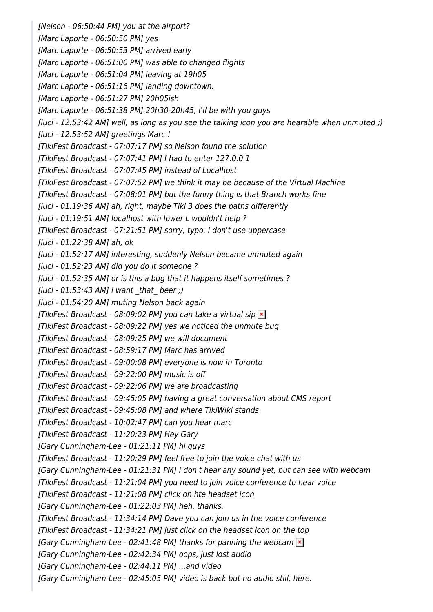[Nelson - 06:50:44 PM] you at the airport? [Marc Laporte - 06:50:50 PM] yes [Marc Laporte - 06:50:53 PM] arrived early [Marc Laporte - 06:51:00 PM] was able to changed flights [Marc Laporte - 06:51:04 PM] leaving at 19h05 [Marc Laporte - 06:51:16 PM] landing downtown. [Marc Laporte - 06:51:27 PM] 20h05ish [Marc Laporte - 06:51:38 PM] 20h30-20h45, I'll be with you guys [luci - 12:53:42 AM] well, as long as you see the talking icon you are hearable when unmuted ;) [luci - 12:53:52 AM] greetings Marc ! [TikiFest Broadcast - 07:07:17 PM] so Nelson found the solution [TikiFest Broadcast - 07:07:41 PM] I had to enter 127.0.0.1 [TikiFest Broadcast - 07:07:45 PM] instead of Localhost [TikiFest Broadcast - 07:07:52 PM] we think it may be because of the Virtual Machine [TikiFest Broadcast - 07:08:01 PM] but the funny thing is that Branch works fine [luci - 01:19:36 AM] ah, right, maybe Tiki 3 does the paths differently [luci - 01:19:51 AM] localhost with lower L wouldn't help ? [TikiFest Broadcast - 07:21:51 PM] sorry, typo. I don't use uppercase [luci - 01:22:38 AM] ah, ok [luci - 01:52:17 AM] interesting, suddenly Nelson became unmuted again [luci - 01:52:23 AM] did you do it someone ? [luci - 01:52:35 AM] or is this a bug that it happens itself sometimes ?  $[luci - 01:53:43 AM]$  i want that beer ;) [luci - 01:54:20 AM] muting Nelson back again [TikiFest Broadcast - 08:09:02 PM] you can take a virtual sip  $\ge$ [TikiFest Broadcast - 08:09:22 PM] yes we noticed the unmute bug [TikiFest Broadcast - 08:09:25 PM] we will document [TikiFest Broadcast - 08:59:17 PM] Marc has arrived [TikiFest Broadcast - 09:00:08 PM] everyone is now in Toronto [TikiFest Broadcast - 09:22:00 PM] music is off [TikiFest Broadcast - 09:22:06 PM] we are broadcasting [TikiFest Broadcast - 09:45:05 PM] having a great conversation about CMS report [TikiFest Broadcast - 09:45:08 PM] and where TikiWiki stands [TikiFest Broadcast - 10:02:47 PM] can you hear marc [TikiFest Broadcast - 11:20:23 PM] Hey Gary [Gary Cunningham-Lee - 01:21:11 PM] hi guys [TikiFest Broadcast - 11:20:29 PM] feel free to join the voice chat with us [Gary Cunningham-Lee - 01:21:31 PM] I don't hear any sound yet, but can see with webcam [TikiFest Broadcast - 11:21:04 PM] you need to join voice conference to hear voice [TikiFest Broadcast - 11:21:08 PM] click on hte headset icon [Gary Cunningham-Lee - 01:22:03 PM] heh, thanks. [TikiFest Broadcast - 11:34:14 PM] Dave you can join us in the voice conference [TikiFest Broadcast - 11:34:21 PM] just click on the headset icon on the top [Gary Cunningham-Lee - 02:41:48 PM] thanks for panning the webcam  $\geq$ [Gary Cunningham-Lee - 02:42:34 PM] oops, just lost audio [Gary Cunningham-Lee - 02:44:11 PM] ...and video [Gary Cunningham-Lee - 02:45:05 PM] video is back but no audio still, here.